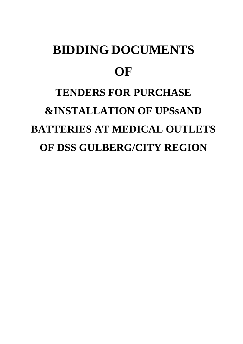# **BIDDING DOCUMENTS OF TENDERS FOR PURCHASE &INSTALLATION OF UPSsAND BATTERIES AT MEDICAL OUTLETS OF DSS GULBERG/CITY REGION**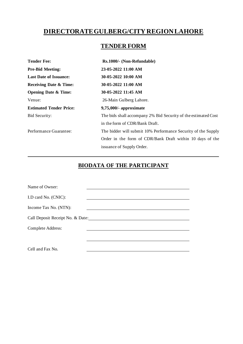# **DIRECTORATE GULBERG/CITY REGION LAHORE**

## **TENDER FORM**

| <b>Tender Fee:</b>                | Rs.1000/- (Non-Refundable)                                     |
|-----------------------------------|----------------------------------------------------------------|
| <b>Pre-Bid Meeting:</b>           | 23-05-2022 11:00 AM                                            |
| <b>Last Date of Issuance:</b>     | 30-05-2022 10:00 AM                                            |
| <b>Receiving Date &amp; Time:</b> | 30-05-2022 11:00 AM                                            |
| <b>Opening Date &amp; Time:</b>   | 30-05-2022 11:45 AM                                            |
| Venue:                            | 26-Main Gulberg Lahore.                                        |
| <b>Estimated Tender Price:</b>    | $9,75,000$ /- approximate                                      |
| Bid Security:                     | The bids shall accompany 2% Bid Security of the estimated Cost |
|                                   | in the form of CDR/Bank Draft.                                 |
| Performance Guarantee:            | The bidder will submit 10% Performance Security of the Supply  |
|                                   | Order in the form of CDR/Bank Draft within 10 days of the      |
|                                   | issuance of Supply Order.                                      |

### **BIODATA OF THE PARTICIPANT**

| Name of Owner:                   |  |
|----------------------------------|--|
| I.D card No. (CNIC):             |  |
| Income Tax No. (NTN):            |  |
| Call Deposit Receipt No. & Date: |  |
| Complete Address:                |  |
|                                  |  |
|                                  |  |
| Cell and Fax No.                 |  |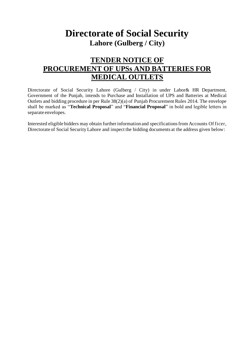# **Directorate of Social Security Lahore (Gulberg / City)**

# **TENDER NOTICE OF PROCUREMENT OF UPSs AND BATTERIES FOR MEDICAL OUTLETS**

Directorate of Social Security Lahore (Gulberg / City) in under Labor & HR Department, Government of the Punjab, intends to Purchase and Installation of UPS and Batteries at Medical Outlets and bidding procedure in per Rule 38(2)(a) of Punjab Procurement Rules 2014. The envelope shall be marked as "**Technical Proposal**" and "**Financial Proposal**" in bold and legible letters in separate envelopes.

Interested eligible bidders may obtain further information and specifications from Accounts Officer, Directorate of Social Security Lahore and inspect the bidding documents at the address given below: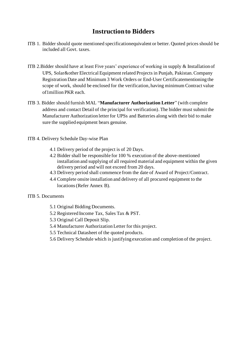## **Instruction to Bidders**

- ITB 1. Bidder should quote mentioned specificationequivalent or better. Quoted prices should be included all Govt. taxes.
- ITB 2.Bidder should have at least Five years' experience of working in supply & Installation of UPS, Solar&other Electrical Equipment related Projects in Punjab, Pakistan. Company Registration Date and Minimum 3 Work Orders or End-User Certificatementioning the scope of work, should be enclosed for the verification, having minimum Contract value of1million PKR each.
- ITB 3. Bidder should furnish MAL "**Manufacturer Authorization Letter**" (with complete address and contact Detail of the principal for verification). The bidder must submit the Manufacturer Authorization letter for UPSs and Batteries along with their bid to make sure the supplied equipment bears genuine.
- ITB 4. Delivery Schedule Day-wise Plan
	- 4.1 Delivery period of the project is of 20 Days.
	- 4.2 Bidder shall be responsible for 100 % execution of the above-mentioned installation and supplying of all required material and equipment within the given delivery period and will not exceed from 20 days.
	- 4.3 Delivery period shall commence from the date of Award of Project/Contract.
	- 4.4 Complete onsite installation and delivery of all procured equipment to the locations (Refer Annex B).
- ITB 5. Documents
	- 5.1 Original Bidding Documents.
	- 5.2 Registered Income Tax, Sales Tax & PST.
	- 5.3 Original Call Deposit Slip.
	- 5.4 Manufacturer Authorization Letter for this project.
	- 5.5 Technical Datasheet of the quoted products.
	- 5.6 Delivery Schedule which is justifying execution and completion of the project.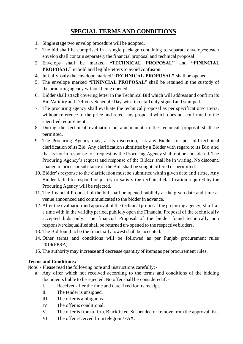## **SPECIAL TERMS AND CONDITIONS**

- 1. Single stage two envelop procedure will be adopted.
- 2. The bid shall be comprised in a single package containing to separate envelopes; each envelop shall contain separately the financial proposal and technical proposal.
- 3. Envelops shall be marked **"TECHNICAL PROPOSAL"** and **"FININCIAL PROPOSAL"** in bold and legible letters to avoid confusion.
- 4. Initially, only the envelope marked **"TECHNICAL PROPOSAL"** shall be opened.
- 5. The envelope marked **"FININCIAL PROPOSAL"** shall be retained in the custody of the procuring agency without being opened.
- 6. Bidder shall attach covering letter in the Technical Bid which will address and confirm its Bid Validity and Delivery Schedule Day-wise in detail duly signed and stamped.
- 7. The procuring agency shall evaluate the technical proposal as per specification/criteria, without reference to the price and reject any proposal which does not confirmed to the specified requirement.
- 8. During the technical evaluation no amendment in the technical proposal shall be permitted.
- 9. The Procuring Agency may, at its discretion, ask any Bidder for post-bid technical clarification of its Bid. Any clarification submitted by a Bidder with regard to its Bid and that is not in response to a request by the Procuring Agency shall not be considered. The Procuring Agency's request and response of the Bidder shall be in writing. No discount, change in prices or substance of the Bid, shall be sought, offered or permitted.
- 10. Bidder's response to the clarification must be submitted within given date and time. Any Bidder failed to respond or justify or satisfy the technical clarification required by the Procuring Agency will be rejected.
- 11. The financial Proposal of the bid shall be opened publicly at the given date and time at venue announced and communicated to the bidder in advance.
- 12. After the evaluation and approval of the technical proposal the procuring agency, shall at a time with in the validity period, publicly open the Financial Proposal of the technically accepted bids only. The financial Proposal of the bidder found technically non responsive/disqualified shall be returned un-opened to the respective bidders.
- 13. The Bid found to be the financially lowest shall be accepted.
- 14. Other terms and conditions will be followed as per Punjab procurement rules 2014(PPRA).
- 15. The authority may increase and decrease quantity of items as per procurement rules.

#### **Terms and Conditions: -**

Note: - Please read the following note and instructions carefully: -

- a. Any offer which not received according to the terms and conditions of the bidding documents liable to be rejected. No offer shall be considered if: -
	- I. Received after the time and date fixed for its receipt.
	- II. The tender is unsigned.
	- III. The offer is ambiguous.
	- IV. The offer is conditional.
	- V. The offer is from a firm, Blacklisted, Suspended or remove from the approval list.
	- VI. The offer received from telegram/FAX.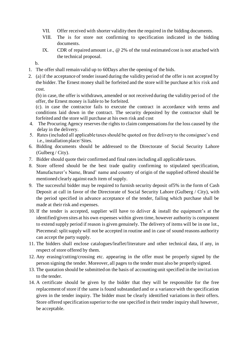- VII. Offer received with shorter validity then the required in the bidding documents.
- VIII. The is for store not confirming to specification indicated in the bidding documents.
- IX. CDR of repaired amount i.e., @ 2% of the total estimated cost is not attached with the technical proposal.
- b.
- 1. The offer shall remain valid up to 60Days after the opening of the bids.
- 2. (a) if the acceptance of tender issued during the validity period of the offer is not accepted by the bidder. The Ernest money shall be forfeited and the store will be purchase at his risk and cost.

(b) in case, the offer is withdrawn, amended or not received during the validity period of the offer, the Ernest money is liable to be forfeited.

(c). in case the contractor fails to execute the contract in accordance with terms and conditions laid down in the contract. The security deposited by the contractor shall be forfeited and the store will purchase at his own risk and cost

- 4. The Procuring Agency reserves the rights to claim compensations for the loss caused by the delay in the delivery.
- 5. Rates (included all applicable taxes should be quoted on free delivery to the consignee's end i.e., installation place/ Sites.
- 6. Bidding documents should be addressed to the Directorate of Social Security Lahore (Gulberg / City).
- 7. Bidder should quote their confirmed and final rates including all applicable taxes.
- 8. Store offered should be the best trade quality confirming to stipulated specification, Manufacturer's Name, Brand' name and country of origin of the supplied offered should be mentioned clearly against each item of supply.
- 9. The successful bidder may be required to furnish security deposit of5% in the form of Cash Deposit at call in favor of the Directorate of Social Security Lahore (Gulberg / City), with the period specified in advance acceptance of the tender, failing which purchase shall be made at their risk and expenses.
- 10. If the tender is accepted, supplier will have to deliver & install the equipment's at the identified/given sites at his own expenses within given time, however authority is component to extend supply period if reason is given genuinely. The delivery of items will be in one lot., Piecemeal: split supply will not be accepted in routine and in case of sound reasons authority can accept the party supply.
- 11. The bidders shall enclose catalogues/leaflet/literature and other technical data, if any, in respect of store offered by them.
- 12. Any erasing/cutting/crossing etc. appearing in the offer must be properly signed by the person signing the tender. Moreover, all pages to the tender must also be properly signed.
- 13. The quotation should be submitted on the basis of accounting unit specified in the invitation to the tender.
- 14. A certificate should be given by the bidder that they will be responsible for the free replacement of store if the same is found substandard and or a variance with the specification given in the tender inquiry. The bidder must be clearly identified variations in their offers. Store offered specification superior to the one specified in their tender inquiry shall however, be acceptable.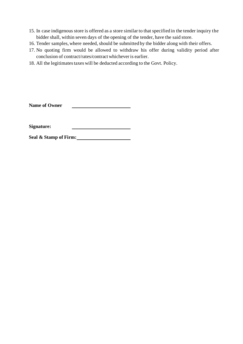- 15. In case indigenous store is offered as a store similar to that specified in the tender inquiry the bidder shall, within seven days of the opening of the tender, have the said store.
- 16. Tender samples, where needed, should be submitted by the bidder along with their offers.
- 17. No quoting firm would be allowed to withdraw his offer during validity period after conclusion of contract/rates/contract whichever is earlier.
- 18. All the legitimates taxes will be deducted according to the Govt. Policy.

**Name of Owner**

**Signature:**

**Seal & Stamp of Firm:**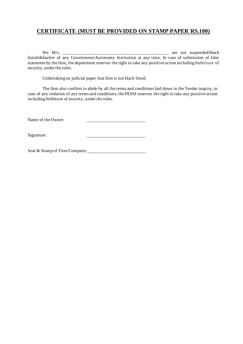#### **CERTIFICATE (MUST BE PROVIDED ON STAMP PAPER RS.100)**

We M/s, \_\_\_\_\_\_\_\_\_\_\_\_\_\_\_\_\_\_\_\_\_\_\_\_\_\_\_\_\_\_\_\_\_\_\_\_\_\_\_\_\_\_\_\_\_\_\_\_ are not suspended/black listed/defaulter of any Government/Autonomy Institution at any time. In case of submission of false statement by the firm, the department reserves the right to take any punitive action including forfeiture of security, under the rules.

Undertaking on judicial paper that firm is not black listed.

The firm also confirm to abide by all the terms and conditions laid down in the Tender inquiry, in case of any violation of any terms and conditions, the PESSI reserves the right to take any punitive action including forfeiture of security, under the rules.

Name of the Owner:

Signature:

Seal & Stamp of Firm/Company: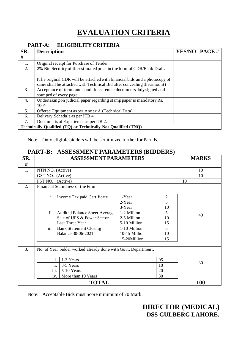# **EVALUATION CRITERIA**

#### **PART-A: ELIGIBILITY CRITERIA**

| SR.                                                           | <b>Description</b>                                                                                                                                  | <b>YES/NO</b> | PAGE# |  |  |
|---------------------------------------------------------------|-----------------------------------------------------------------------------------------------------------------------------------------------------|---------------|-------|--|--|
| #                                                             |                                                                                                                                                     |               |       |  |  |
| 1.                                                            | Original receipt for Purchase of Tender                                                                                                             |               |       |  |  |
| 2.                                                            | 2% Bid Security of the estimated price in the form of CDR/Bank Draft.                                                                               |               |       |  |  |
|                                                               | (The original CDR will be attached with financial bids and a photocopy of<br>same shall be attached with Technical Bid after concealing the amount) |               |       |  |  |
| 3.                                                            | Acceptance of terms and conditions, tender documents duly signed and<br>stamped of every page.                                                      |               |       |  |  |
| 4.                                                            | Undertaking on judicial paper regarding stamp paper is mandatory Rs.<br>$100/-$                                                                     |               |       |  |  |
| 5.                                                            | Offered Equipment as per Annex A (Technical Data)                                                                                                   |               |       |  |  |
| 6.                                                            | Delivery Schedule as per ITB 4.                                                                                                                     |               |       |  |  |
| 7.                                                            | Documents of Experience as perITB 2.                                                                                                                |               |       |  |  |
| Technically Qualified (TQ) or Technically Not Qualified (TNQ) |                                                                                                                                                     |               |       |  |  |

Note: Only eligible bidders will be scrutinized further for Part-B.

#### **PART-B: ASSESSMENT PARAMETERS (BIDDERS)**

| SR. | <b>ASSESSMENT PARAMETERS</b>                                        |                                      |               | <b>MARKS</b>   |            |
|-----|---------------------------------------------------------------------|--------------------------------------|---------------|----------------|------------|
| #   |                                                                     |                                      |               |                |            |
| 1.  | NTN NO. (Active)                                                    |                                      |               |                | 10         |
|     | GST NO. (Active)                                                    |                                      |               |                | 10         |
|     | PST NO. (Active)                                                    |                                      |               |                | 10         |
| 2.  |                                                                     | Financial Soundness of the Firm      |               |                |            |
|     |                                                                     |                                      |               |                |            |
|     | i.                                                                  | Income Tax paid Certificate          | 1-Year        | $\mathfrak{2}$ |            |
|     |                                                                     |                                      | 2-Year        | 5              |            |
|     |                                                                     |                                      | 3-Year        | 10             |            |
|     | ii.                                                                 | <b>Audited Balance Sheet Average</b> | 1-2 Million   | 5              | 40         |
|     |                                                                     | Sale of UPS & Power Sector           | 2-5 Million   | 10             |            |
|     |                                                                     | Last Three Year                      | 5-10 Million  | 15             |            |
|     | iii.                                                                | <b>Bank Statement Closing</b>        | 1-10 Million  | 5              |            |
|     |                                                                     | Balance 30-06-2021                   | 10-15 Million | 10             |            |
|     |                                                                     |                                      | 15-20Million  | 15             |            |
|     |                                                                     |                                      |               |                |            |
|     | 3.<br>No. of Year bidder worked already done with Govt. Department. |                                      |               |                |            |
|     |                                                                     |                                      |               |                |            |
|     | 1-3 Years<br>05<br>i.                                               |                                      |               | 30             |            |
|     | ii.<br>3-5 Years<br>10                                              |                                      |               |                |            |
|     |                                                                     | iii.<br>5-10 Years<br>20             |               |                |            |
|     |                                                                     | More than 10 Years<br>iv.            |               | 30             |            |
|     |                                                                     | <b>TOTAL</b>                         |               |                | <b>100</b> |

Note: Acceptable Bids must Score minimum of 70 Mark.

## **DIRECTOR (MEDICAL) DSS GULBERG LAHORE.**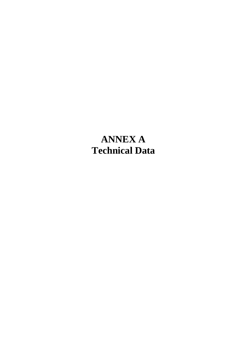# **ANNEX A Technical Data**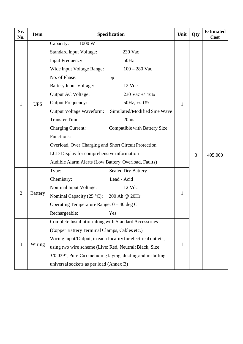| Sr.<br>No.     | <b>Item</b>    | Specification                                                 |                              |              | Qty | <b>Estimated</b><br><b>Cost</b> |
|----------------|----------------|---------------------------------------------------------------|------------------------------|--------------|-----|---------------------------------|
|                |                | Capacity:<br>1000 W                                           |                              |              |     |                                 |
|                |                | <b>Standard Input Voltage:</b>                                | 230 Vac                      |              |     |                                 |
|                |                | <b>Input Frequency:</b>                                       | 50Hz                         |              |     |                                 |
|                |                | Wide Input Voltage Range:                                     | $100 - 280$ Vac              |              |     |                                 |
|                |                | No. of Phase:                                                 | $1\varphi$                   |              |     |                                 |
|                |                | <b>Battery Input Voltage:</b>                                 | 12 Vdc                       |              |     |                                 |
|                |                | Output AC Voltage:                                            | 230 Vac +/- $10\%$           |              |     |                                 |
| 1              | <b>UPS</b>     | <b>Output Frequency:</b>                                      | $50Hz$ , +/- 1Hz             | 1            |     |                                 |
|                |                | <b>Output Voltage Waveform:</b>                               | Simulated/Modified Sine Wave |              |     |                                 |
|                |                | <b>Transfer Time:</b>                                         | 20ms                         |              |     |                                 |
|                |                | <b>Charging Current:</b>                                      | Compatible with Battery Size |              |     |                                 |
|                |                | Functions:                                                    |                              |              |     |                                 |
|                |                | Overload, Over Charging and Short Circuit Protection          |                              |              | 3   | 495,000                         |
|                |                | LCD Display for comprehensive information                     |                              |              |     |                                 |
|                |                | Audible Alarm Alerts (Low Battery, Overload, Faults)          |                              |              |     |                                 |
|                | <b>Battery</b> | Type:                                                         | <b>Sealed Dry Battery</b>    |              |     |                                 |
|                |                | Chemistry:                                                    | Lead - Acid                  |              |     |                                 |
|                |                | Nominal Input Voltage:                                        | 12 Vdc                       |              |     |                                 |
| $\mathfrak{2}$ |                | Nominal Capacity (25 °C): 200 Ah @ 20Hr                       |                              | $\mathbf{1}$ |     |                                 |
|                |                | Operating Temperature Range: $0 - 40$ deg C                   |                              |              |     |                                 |
|                |                | Rechargeable:                                                 | Yes                          |              |     |                                 |
|                |                | Complete Installation along with Standard Accessories         |                              |              |     |                                 |
|                | Wiring         | (Copper Battery Terminal Clamps, Cables etc.)                 |                              | 1            |     |                                 |
|                |                | Wiring Input/Output, in each locality for electrical outlets, |                              |              |     |                                 |
| 3              |                | using two wire scheme (Live: Red, Neutral: Black, Size:       |                              |              |     |                                 |
|                |                | 3/0.029", Pure Cu) including laying, ducting and installing   |                              |              |     |                                 |
|                |                | universal sockets as per load (Annex B)                       |                              |              |     |                                 |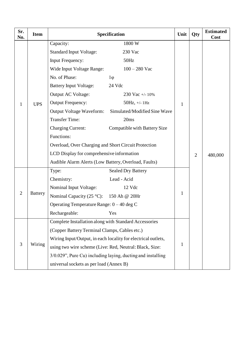| Sr.<br>No.     | <b>Item</b>    | Specification                                                 |                                                             |              | Qty            | <b>Estimated</b><br><b>Cost</b> |
|----------------|----------------|---------------------------------------------------------------|-------------------------------------------------------------|--------------|----------------|---------------------------------|
|                |                | Capacity:                                                     | 1800 W                                                      |              |                |                                 |
|                |                | <b>Standard Input Voltage:</b>                                | 230 Vac                                                     |              |                |                                 |
|                |                | <b>Input Frequency:</b>                                       | 50Hz                                                        |              |                |                                 |
|                |                | Wide Input Voltage Range:                                     | $100 - 280$ Vac                                             |              |                |                                 |
|                |                | No. of Phase:                                                 | $1\varphi$                                                  |              |                |                                 |
|                |                | <b>Battery Input Voltage:</b>                                 | 24 Vdc                                                      |              |                |                                 |
|                |                | Output AC Voltage:                                            | 230 Vac +/- $10\%$                                          |              |                |                                 |
| 1              | <b>UPS</b>     | <b>Output Frequency:</b>                                      | $50Hz$ , +/- 1Hz                                            | 1            |                |                                 |
|                |                | <b>Output Voltage Waveform:</b>                               | Simulated/Modified Sine Wave                                |              |                |                                 |
|                |                | <b>Transfer Time:</b>                                         | 20ms                                                        |              |                |                                 |
|                |                | <b>Charging Current:</b>                                      | Compatible with Battery Size                                |              |                |                                 |
|                |                | Functions:                                                    |                                                             |              |                |                                 |
|                |                | Overload, Over Charging and Short Circuit Protection          |                                                             |              | $\overline{2}$ | 480,000                         |
|                |                | LCD Display for comprehensive information                     |                                                             |              |                |                                 |
|                |                | Audible Alarm Alerts (Low Battery, Overload, Faults)          |                                                             |              |                |                                 |
|                | <b>Battery</b> | Type:                                                         | <b>Sealed Dry Battery</b>                                   |              |                |                                 |
|                |                | Chemistry:                                                    | Lead - Acid                                                 |              |                |                                 |
|                |                | Nominal Input Voltage:                                        | 12 Vdc                                                      |              |                |                                 |
| $\overline{2}$ |                | Nominal Capacity (25 °C): 150 Ah @ 20Hr                       |                                                             | $\mathbf{1}$ |                |                                 |
|                |                | Operating Temperature Range: $0 - 40$ deg C                   |                                                             |              |                |                                 |
|                |                | Rechargeable:                                                 | Yes                                                         |              |                |                                 |
|                |                | Complete Installation along with Standard Accessories         |                                                             |              |                |                                 |
|                | Wiring         | (Copper Battery Terminal Clamps, Cables etc.)                 |                                                             | 1            |                |                                 |
|                |                | Wiring Input/Output, in each locality for electrical outlets, |                                                             |              |                |                                 |
| 3              |                | using two wire scheme (Live: Red, Neutral: Black, Size:       |                                                             |              |                |                                 |
|                |                |                                                               | 3/0.029", Pure Cu) including laying, ducting and installing |              |                |                                 |
|                |                | universal sockets as per load (Annex B)                       |                                                             |              |                |                                 |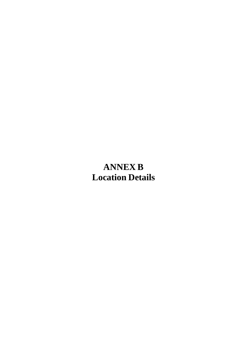# **ANNEX B Location Details**